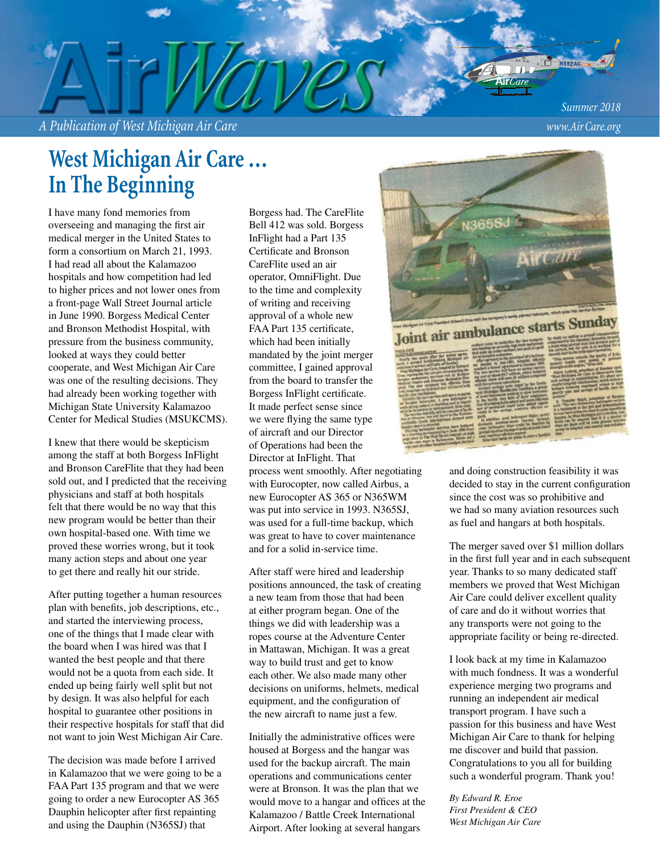*A Publication of West Michigan Air Care www.Air Care.org*

*Summer 2018*

# **West Michigan Air Care … In The Beginning**

I have many fond memories from overseeing and managing the first air medical merger in the United States to form a consortium on March 21, 1993. I had read all about the Kalamazoo hospitals and how competition had led to higher prices and not lower ones from a front-page Wall Street Journal article in June 1990. Borgess Medical Center and Bronson Methodist Hospital, with pressure from the business community, looked at ways they could better cooperate, and West Michigan Air Care was one of the resulting decisions. They had already been working together with Michigan State University Kalamazoo Center for Medical Studies (MSUKCMS).

I knew that there would be skepticism among the staff at both Borgess InFlight and Bronson CareFlite that they had been sold out, and I predicted that the receiving physicians and staff at both hospitals felt that there would be no way that this new program would be better than their own hospital-based one. With time we proved these worries wrong, but it took many action steps and about one year to get there and really hit our stride.

After putting together a human resources plan with benefits, job descriptions, etc., and started the interviewing process, one of the things that I made clear with the board when I was hired was that I wanted the best people and that there would not be a quota from each side. It ended up being fairly well split but not by design. It was also helpful for each hospital to guarantee other positions in their respective hospitals for staff that did not want to join West Michigan Air Care.

The decision was made before I arrived in Kalamazoo that we were going to be a FAA Part 135 program and that we were going to order a new Eurocopter AS 365 Dauphin helicopter after first repainting and using the Dauphin (N365SJ) that

Borgess had. The CareFlite Bell 412 was sold. Borgess InFlight had a Part 135 Certificate and Bronson CareFlite used an air operator, OmniFlight. Due to the time and complexity of writing and receiving approval of a whole new FAA Part 135 certificate, which had been initially mandated by the joint merger committee, I gained approval from the board to transfer the Borgess InFlight certificate. It made perfect sense since we were flying the same type of aircraft and our Director of Operations had been the Director at InFlight. That process went smoothly. After negotiating with Eurocopter, now called Airbus, a new Eurocopter AS 365 or N365WM was put into service in 1993. N365SJ, was used for a full-time backup, which was great to have to cover maintenance and for a solid in-service time.

After staff were hired and leadership positions announced, the task of creating a new team from those that had been at either program began. One of the things we did with leadership was a ropes course at the Adventure Center in Mattawan, Michigan. It was a great way to build trust and get to know each other. We also made many other decisions on uniforms, helmets, medical equipment, and the configuration of the new aircraft to name just a few.

Initially the administrative offices were housed at Borgess and the hangar was used for the backup aircraft. The main operations and communications center were at Bronson. It was the plan that we would move to a hangar and offices at the Kalamazoo / Battle Creek International Airport. After looking at several hangars



and doing construction feasibility it was decided to stay in the current configuration since the cost was so prohibitive and we had so many aviation resources such as fuel and hangars at both hospitals.

The merger saved over \$1 million dollars in the first full year and in each subsequent year. Thanks to so many dedicated staff members we proved that West Michigan Air Care could deliver excellent quality of care and do it without worries that any transports were not going to the appropriate facility or being re-directed.

I look back at my time in Kalamazoo with much fondness. It was a wonderful experience merging two programs and running an independent air medical transport program. I have such a passion for this business and have West Michigan Air Care to thank for helping me discover and build that passion. Congratulations to you all for building such a wonderful program. Thank you!

*By Edward R. Eroe First President & CEO West Michigan Air Care*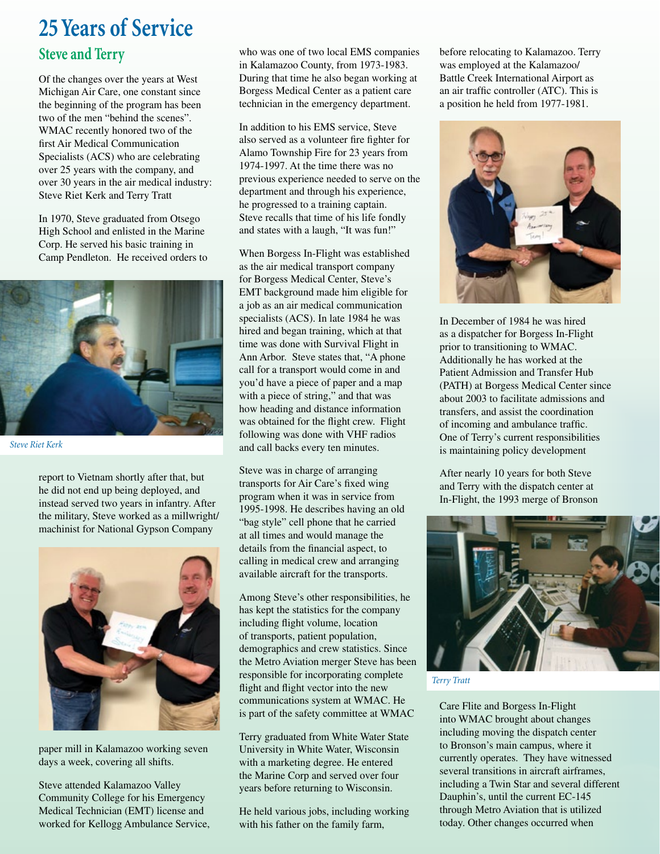# **25 Years of Service**

#### **Steve and Terry**

Of the changes over the years at West Michigan Air Care, one constant since the beginning of the program has been two of the men "behind the scenes". WMAC recently honored two of the first Air Medical Communication Specialists (ACS) who are celebrating over 25 years with the company, and over 30 years in the air medical industry: Steve Riet Kerk and Terry Tratt

In 1970, Steve graduated from Otsego High School and enlisted in the Marine Corp. He served his basic training in Camp Pendleton. He received orders to



*Steve Riet Kerk*

report to Vietnam shortly after that, but he did not end up being deployed, and instead served two years in infantry. After the military, Steve worked as a millwright/ machinist for National Gypson Company



paper mill in Kalamazoo working seven days a week, covering all shifts.

Steve attended Kalamazoo Valley Community College for his Emergency Medical Technician (EMT) license and worked for Kellogg Ambulance Service,

who was one of two local EMS companies in Kalamazoo County, from 1973-1983. During that time he also began working at Borgess Medical Center as a patient care technician in the emergency department.

In addition to his EMS service, Steve also served as a volunteer fire fighter for Alamo Township Fire for 23 years from 1974-1997. At the time there was no previous experience needed to serve on the department and through his experience, he progressed to a training captain. Steve recalls that time of his life fondly and states with a laugh, "It was fun!"

When Borgess In-Flight was established as the air medical transport company for Borgess Medical Center, Steve's EMT background made him eligible for a job as an air medical communication specialists (ACS). In late 1984 he was hired and began training, which at that time was done with Survival Flight in Ann Arbor. Steve states that, "A phone call for a transport would come in and you'd have a piece of paper and a map with a piece of string," and that was how heading and distance information was obtained for the flight crew. Flight following was done with VHF radios and call backs every ten minutes.

Steve was in charge of arranging transports for Air Care's fixed wing program when it was in service from 1995-1998. He describes having an old "bag style" cell phone that he carried at all times and would manage the details from the financial aspect, to calling in medical crew and arranging available aircraft for the transports.

Among Steve's other responsibilities, he has kept the statistics for the company including flight volume, location of transports, patient population, demographics and crew statistics. Since the Metro Aviation merger Steve has been responsible for incorporating complete flight and flight vector into the new communications system at WMAC. He is part of the safety committee at WMAC

Terry graduated from White Water State University in White Water, Wisconsin with a marketing degree. He entered the Marine Corp and served over four years before returning to Wisconsin.

He held various jobs, including working with his father on the family farm,

before relocating to Kalamazoo. Terry was employed at the Kalamazoo/ Battle Creek International Airport as an air traffic controller (ATC). This is a position he held from 1977-1981.



In December of 1984 he was hired as a dispatcher for Borgess In-Flight prior to transitioning to WMAC. Additionally he has worked at the Patient Admission and Transfer Hub (PATH) at Borgess Medical Center since about 2003 to facilitate admissions and transfers, and assist the coordination of incoming and ambulance traffic. One of Terry's current responsibilities is maintaining policy development

After nearly 10 years for both Steve and Terry with the dispatch center at In-Flight, the 1993 merge of Bronson



*Terry Tratt*

Care Flite and Borgess In-Flight into WMAC brought about changes including moving the dispatch center to Bronson's main campus, where it currently operates. They have witnessed several transitions in aircraft airframes, including a Twin Star and several different Dauphin's, until the current EC-145 through Metro Aviation that is utilized today. Other changes occurred when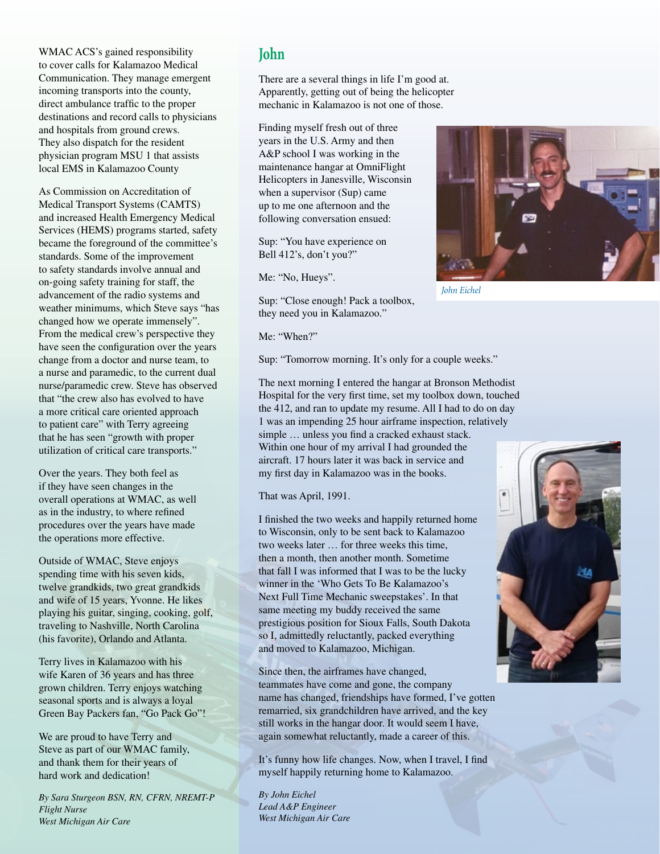WMAC ACS's gained responsibility to cover calls for Kalamazoo Medical Communication. They manage emergent incoming transports into the county, direct ambulance traffic to the proper destinations and record calls to physicians and hospitals from ground crews. They also dispatch for the resident physician program MSU 1 that assists local EMS in Kalamazoo County

As Commission on Accreditation of Medical Transport Systems (CAMTS) and increased Health Emergency Medical Services (HEMS) programs started, safety became the foreground of the committee's standards. Some of the improvement to safety standards involve annual and on-going safety training for staff, the advancement of the radio systems and weather minimums, which Steve says "has changed how we operate immensely". From the medical crew's perspective they have seen the configuration over the years change from a doctor and nurse team, to a nurse and paramedic, to the current dual nurse/paramedic crew. Steve has observed that "the crew also has evolved to have a more critical care oriented approach to patient care" with Terry agreeing that he has seen "growth with proper utilization of critical care transports."

Over the years. They both feel as if they have seen changes in the overall operations at WMAC, as well as in the industry, to where refined procedures over the years have made the operations more effective.

Outside of WMAC, Steve enjoys spending time with his seven kids, twelve grandkids, two great grandkids and wife of 15 years, Yvonne. He likes playing his guitar, singing, cooking, golf, traveling to Nashville, North Carolina (his favorite), Orlando and Atlanta.

Terry lives in Kalamazoo with his wife Karen of 36 years and has three grown children. Terry enjoys watching seasonal sports and is always a loyal Green Bay Packers fan, "Go Pack Go"!

We are proud to have Terry and Steve as part of our WMAC family, and thank them for their years of hard work and dedication!

*By Sara Sturgeon BSN, RN, CFRN, NREMT-P Flight Nurse West Michigan Air Care*

#### **John**

There are a several things in life I'm good at. Apparently, getting out of being the helicopter mechanic in Kalamazoo is not one of those.

Finding myself fresh out of three years in the U.S. Army and then A&P school I was working in the maintenance hangar at OmniFlight Helicopters in Janesville, Wisconsin when a supervisor (Sup) came up to me one afternoon and the following conversation ensued:

Sup: "You have experience on Bell 412's, don't you?"

Me: "No, Hueys".

Sup: "Close enough! Pack a toolbox, they need you in Kalamazoo."

Me: "When?"

Sup: "Tomorrow morning. It's only for a couple weeks."

The next morning I entered the hangar at Bronson Methodist Hospital for the very first time, set my toolbox down, touched the 412, and ran to update my resume. All I had to do on day 1 was an impending 25 hour airframe inspection, relatively simple … unless you find a cracked exhaust stack. Within one hour of my arrival I had grounded the aircraft. 17 hours later it was back in service and my first day in Kalamazoo was in the books.

That was April, 1991.

I finished the two weeks and happily returned home to Wisconsin, only to be sent back to Kalamazoo two weeks later … for three weeks this time, then a month, then another month. Sometime that fall I was informed that I was to be the lucky winner in the 'Who Gets To Be Kalamazoo's Next Full Time Mechanic sweepstakes'. In that same meeting my buddy received the same prestigious position for Sioux Falls, South Dakota so I, admittedly reluctantly, packed everything and moved to Kalamazoo, Michigan.

Since then, the airframes have changed, teammates have come and gone, the company name has changed, friendships have formed, I've gotten remarried, six grandchildren have arrived, and the key still works in the hangar door. It would seem I have, again somewhat reluctantly, made a career of this.

It's funny how life changes. Now, when I travel, I find myself happily returning home to Kalamazoo.

*By John Eichel Lead A&P Engineer West Michigan Air Care*



*John Eichel*